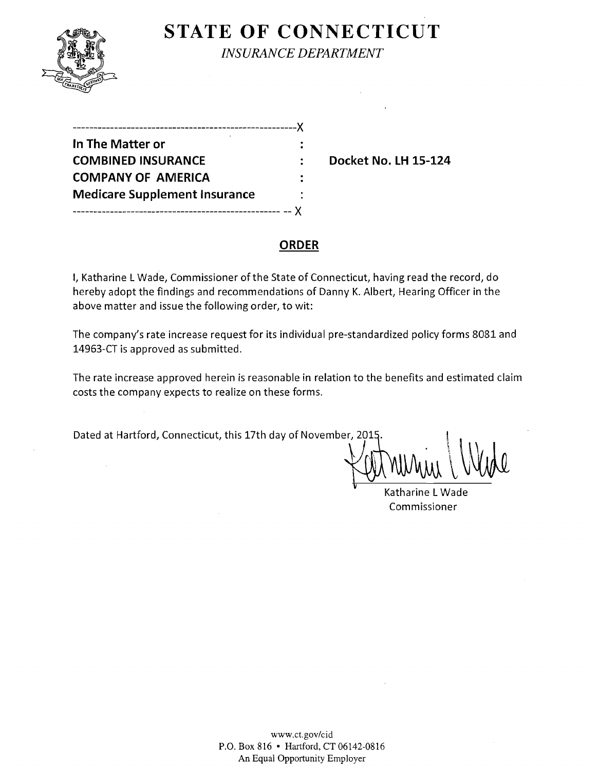

 $\mathcal{L}$ 

**STATE OF CONNECTICUT** 

*INSURANCE DEPARTMENT* 

| ---------                            |   |
|--------------------------------------|---|
| In The Matter or                     |   |
| <b>COMBINED INSURANCE</b>            |   |
| <b>COMPANY OF AMERICA</b>            |   |
| <b>Medicare Supplement Insurance</b> | ٠ |
|                                      |   |

**Docket No. LH 15-124** 

## **ORDER**

I, Katharine L Wade, Commissioner of the State of Connecticut, having read the record, do hereby adopt the findings and recommendations of Danny K. Albert, Hearing Officer in the above matter and issue the following order, to wit:

The company's rate increase request for its individual pre-standardized policy forms 8081 and 14963-CT is approved as submitted.

The rate increase approved herein is reasonable in relation to the benefits and estimated claim costs the company expects to realize on these forms.

Dated at Hartford, Connecticut, this 17th day of November, 2015.

 $\tau$ 

Katharine L Wade Commissioner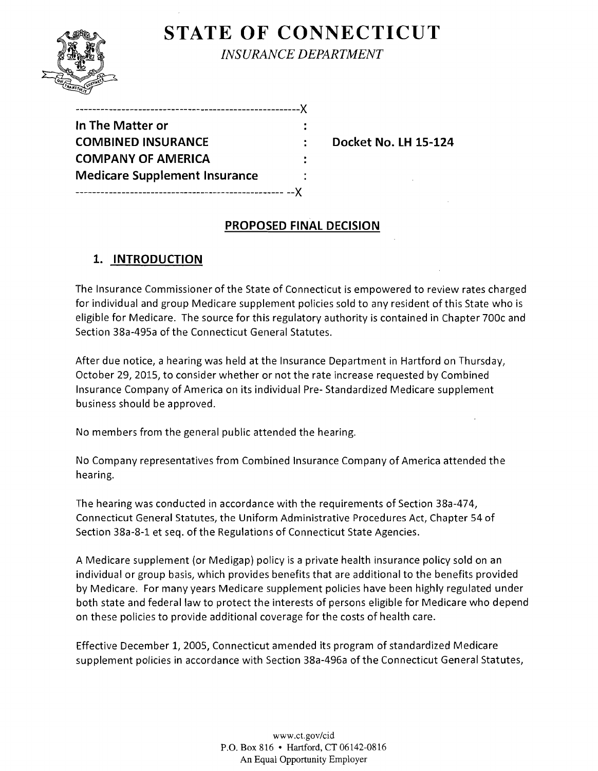# **STATE OF CONNECTICUT**



*INSURANCE DEPARTMENT* 

| In The Matter or                     |  |
|--------------------------------------|--|
| <b>COMBINED INSURANCE</b>            |  |
| <b>COMPANY OF AMERICA</b>            |  |
| <b>Medicare Supplement Insurance</b> |  |
|                                      |  |

**Docket No. LH 15-124** 

## **PROPOSED FINAL DECISION**

# **1. INTRODUCTION**

The Insurance Commissioner of the State of Connecticut is empowered to review rates charged for individual and group Medicare supplement policies sold to any resident of this State who is eligible for Medicare. The source for this regulatory authority is contained in Chapter 700c and Section 38a-495a of the Connecticut General Statutes.

After due notice, a hearing was held at the Insurance Department in Hartford on Thursday, October 29} 2015} to consider whether or not the rate increase requested by Combined Insurance Company of America on its individual Pre- Standardized Medicare supplement business should be approved.

No members from the general public attended the hearing.

No Company representatives from Combined Insurance Company of America attended the hearing.

The hearing was conducted in accordance with the requirements of Section 38a-474} Connecticut General Statutes, the Uniform Administrative Procedures Act, Chapter 54 of Section 38a-8-1 et seq. of the Regulations of Connecticut State Agencies.

A Medicare supplement (or Medigap) policy is a private health insurance policy sold on an individual or group basis, which provides benefits that are additional to the benefits provided by Medicare. For many years Medicare supplement policies have been highly regulated under both state and federal law to protect the interests of persons eligible for Medicare who depend on these policies to provide additional coverage for the costs of health care.

Effective December I} 2005} Connecticut amended its program of standardized Medicare supplement policies in accordance with Section 38a-496a of the Connecticut General Statutes,

> www.ct.gov/cid P.O. Box 816 • Hartford, CT 06142-0816 An Equal Opportunity Employer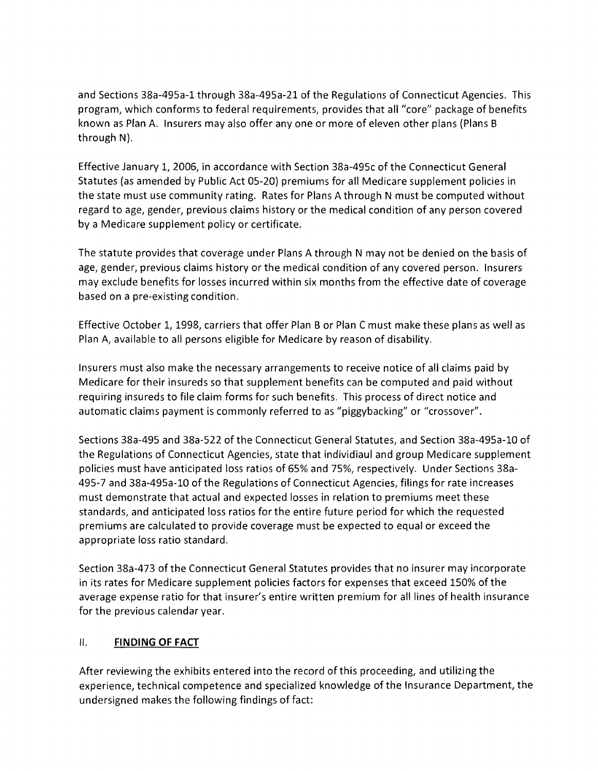and Sections 38a-495a-1 through 38a-495a-21 of the Regulations of Connecticut Agencies. This program, which conforms to federal requirements, provides that all "core" package of benefits known as Plan A. Insurers may also offer anyone or more of eleven other plans (Plans B through N).

Effective January 1, 2006, in accordance with Section 38a-495c of the Connecticut General Statutes (as amended by Public Act 05-20) premiums for all Medicare supplement policies in the state must use community rating. Rates for Plans A through N must be computed without regard to age, gender, previous claims history or the medical condition of any person covered by a Medicare supplement policy or certificate.

The statute provides that coverage under Plans A through N may not be denied on the basis of age, gender, previous claims history or the medical condition of any covered person. Insurers may exclude benefits for losses incurred within six months from the effective date of coverage based on a pre-existing condition.

Effective October 1, 1998, carriers that offer Plan B or Plan C must make these plans as well as Plan A, available to all persons eligible for Medicare by reason of disability.

Insurers must also make the necessary arrangements to receive notice of all claims paid by Medicare for their insureds so that supplement benefits can be computed and paid without requiring insureds to file claim forms for such benefits. This process of direct notice and automatic claims payment is commonly referred to as "piggybacking" or "crossover".

Sections 38a-495 and 38a-522 of the Connecticut General Statutes, and Section 38a-495a-1O of the Regulations of Connecticut Agencies, state that individiaul and group Medicare supplement policies must have anticipated loss ratios of 65% and 75%, respectively. Under Sections 38a-495-7 and 38a-495a-1O of the Regulations of Connecticut Agencies, filings for rate increases must demonstrate that actual and expected losses in relation to premiums meet these standards, and anticipated loss ratios for the entire future period for which the requested premiums are calculated to provide coverage must be expected to equal or exceed the appropriate loss ratio standard.

Section 38a-473 of the Connecticut General Statutes provides that no insurer may incorporate in its rates for Medicare supplement policies factors for expenses that exceed 150% of the average expense ratio for that insurer's entire written premium for all lines of health insurance for the previous calendar year.

### II. **FINDING OF FACT**

After reviewing the exhibits entered into the record of this proceeding, and utilizing the experience, technical competence and specialized knowledge of the Insurance Department, the undersigned makes the following findings of fact: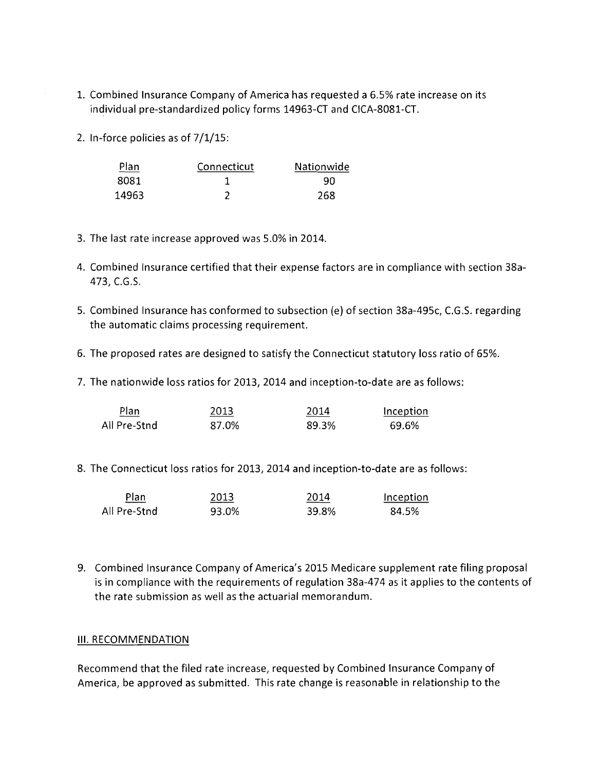- 1. Combined Insurance Company of America has requested a 6.5% rate increase on its individual pre-standardized policy forms 14963-CT and ClCA-8081-CT.
- 2. In-force policies as of 7/1/15:

| <u>Plan</u> | Connecticut | Nationwide |
|-------------|-------------|------------|
| 8081        |             | 90         |
| 14963       |             | 268        |

- 3. The last rate increase approved was 5.0% in 2014.
- 4. Combined Insurance certified that their expense factors are in compliance with section 38a-473, e.G.S.
- 5. Combined Insurance has conformed to subsection (e) of section 38a-495c, C.G.S. regarding the automatic claims processing requirement.
- 6. The proposed rates are designed to satisfy the Connecticut statutory loss ratio of 65%.
- 7. The nationwide loss ratios for 2013, 2014 and inception-to-date are as follows:

| Plan         | 2013  | 2014  | Inception |
|--------------|-------|-------|-----------|
| All Pre-Stnd | 87.0% | 89.3% | 69.6%     |

8. The Connecticut loss ratios for 2013, 2014 and inception-to-date are as follows:

| Plan<br>_______ | 2013  | 2014  | Inception |
|-----------------|-------|-------|-----------|
| All Pre-Stnd    | 93.0% | 39.8% | 84.5%     |

9. Combined Insurance Company of America's 2015 Medicare supplement rate filing proposal is in compliance with the requirements of regulation 38a-474 as it applies to the contents of the rate submission as well as the actuarial memorandum.

#### **III. RECOMMENDATION**

Recommend that the filed rate increase, requested by Combined Insurance Company of America, be approved as submitted. This rate change is reasonable in relationship to the